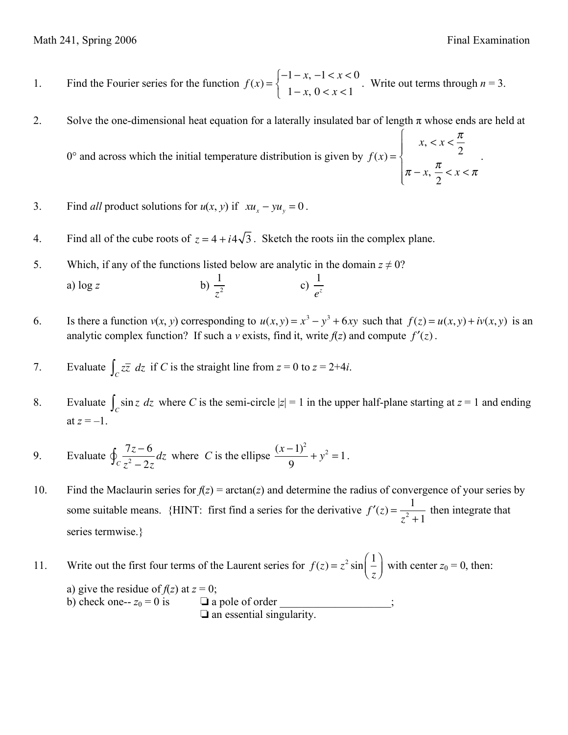2

.

1. Find the Fourier series for the function  $f(x) =$  $-1 - x, -1 < x < 0$  $1 - x$ ,  $0 < x < 1$  $\int$  $\left\{ \right.$  $\overline{a}$ . Write out terms through  $n = 3$ .

2. Solve the one-dimensional heat equation for a laterally insulated bar of length  $\pi$  whose ends are held at

 $0^{\circ}$  and across which the initial temperature distribution is given by  $f(x) =$  $x, \, x < \frac{\pi}{2}$  $\pi - x, \frac{\pi}{2}$ 2  $\langle x \rangle < \pi$  $\int$  $\left\{ \right.$  $\vert$ &  $\overline{a}$  $\mathfrak l$ 

3. Find *all* product solutions for 
$$
u(x, y)
$$
 if  $xu_x - yu_y = 0$ .

- 4. Find all of the cube roots of  $z = 4 + i4\sqrt{3}$ . Sketch the roots iin the complex plane.
- 5. Which, if any of the functions listed below are analytic in the domain  $z \neq 0$ ? a) log *z* b) 1 *z* 2 c)  $\frac{1}{2}$ *ez*
- 6. Is there a function  $v(x, y)$  corresponding to  $u(x, y) = x^3 y^3 + 6xy$  such that  $f(z) = u(x, y) + iv(x, y)$  is an analytic complex function? If such a *v* exists, find it, write  $f(z)$  and compute  $f'(z)$ .
- 7. Evaluate  $\int_{C} z\overline{z} dz$  if *C* is the straight line from  $z = 0$  to  $z = 2+4i$ .
- 8. Evaluate  $\int_{C} \sin z \, dz$  where *C* is the semi-circle  $|z| = 1$  in the upper half-plane starting at  $z = 1$  and ending at  $z = -1$ .
- 9. Evaluate  $\oint \frac{7z-6}{z-2}$  $\oint_C \frac{7z-6}{z^2-2z} dz$  where *C* is the ellipse  $\frac{(x-1)^2}{9}$ 9  $+ y^2 = 1$ .
- 10. Find the Maclaurin series for  $f(z) = \arctan(z)$  and determine the radius of convergence of your series by some suitable means. {HINT: first find a series for the derivative  $f'(z) = \frac{1}{z}$  $\frac{1}{z^2+1}$  then integrate that series termwise.}

11. Write out the first four terms of the Laurent series for  $f(z) = z^2 \sin \left( \frac{1}{z} \right)$ *z* !  $\left(\frac{1}{z}\right)$  with center  $z_0 = 0$ , then: a) give the residue of  $f(z)$  at  $z = 0$ ; b) check one--  $z_0 = 0$  is  $\Box$  a pole of order ❏ an essential singularity.